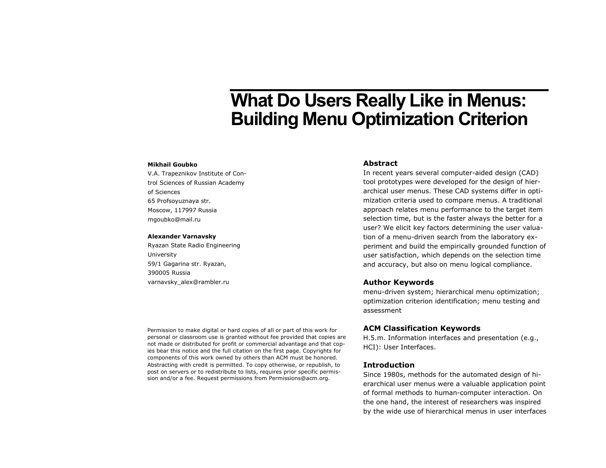# **What Do Users Really Like in Menus: Building Menu Optimization Criterion**

#### **Mikhail Goubko**

V.A. Trapeznikov Institute of Control Sciences of Russian Academy of Sciences 65 Profsoyuznaya str. Moscow, 117997 Russia mgoubko@mail.ru

#### **Alexander Varnavsky**

Ryazan State Radio Engineering University 59/1 Gagarina str. Ryazan, 390005 Russia varnavsky\_alex@rambler.ru

## **Abstract**

In recent years several computer-aided design (CAD) tool prototypes were developed for the design of hierarchical user menus. These CAD systems differ in optimization criteria used to compare menus. A traditional approach relates menu performance to the target item selection time, but is the faster always the better for a user? We elicit key factors determining the user valuation of a menu-driven search from the laboratory experiment and build the empirically grounded function of user satisfaction, which depends on the selection time and accuracy, but also on menu logical compliance.

## **Author Keywords**

menu-driven system; hierarchical menu optimization; optimization criterion identification; menu testing and assessment

## **ACM Classification Keywords**

H.5.m. Information interfaces and presentation (e.g., HCI): User Interfaces.

#### **Introduction**

Since 1980s, methods for the automated design of hierarchical user menus were a valuable application point of formal methods to human-computer interaction. On the one hand, the interest of researchers was inspired by the wide use of hierarchical menus in user interfaces

Permission to make digital or hard copies of all or part of this work for personal or classroom use is granted without fee provided that copies are not made or distributed for profit or commercial advantage and that copies bear this notice and the full citation on the first page. Copyrights for components of this work owned by others than ACM must be honored. Abstracting with credit is permitted. To copy otherwise, or republish, to post on servers or to redistribute to lists, requires prior specific permission and/or a fee. Request permissions from Permissions@acm.org.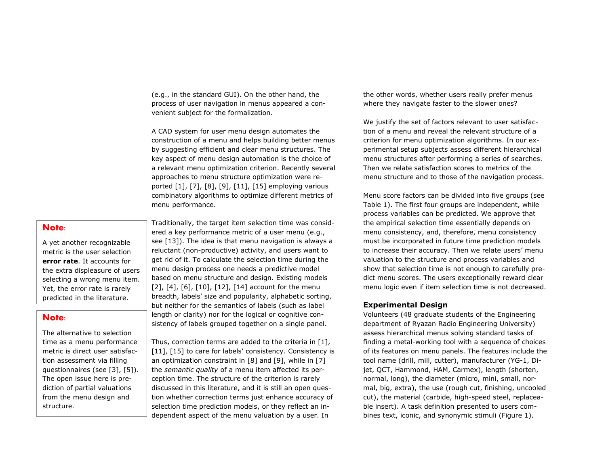(e.g., in the standard GUI). On the other hand, the process of user navigation in menus appeared a convenient subject for the formalization.

A CAD system for user menu design automates the construction of a menu and helps building better menus by suggesting efficient and clear menu structures. The key aspect of menu design automation is the choice of a relevant menu optimization criterion. Recently several approaches to menu structure optimization were reported [\[1\],](#page-3-0) [\[7\],](#page-3-1) [\[8\],](#page-3-2) [\[9\],](#page-3-3) [\[11\],](#page-3-4) [\[15\]](#page-3-5) employing various combinatory algorithms to optimize different metrics of menu performance.

## **Note:**

A yet another recognizable metric is the user selection **error rate**. It accounts for the extra displeasure of users selecting a wrong menu item. Yet, the error rate is rarely predicted in the literature.

## **Note:**

The alternative to selection time as a menu performance metric is direct user satisfaction assessment via filling questionnaires (see [\[3\],](#page-3-13) [\[5\]\)](#page-3-14). The open issue here is prediction of partial valuations from the menu design and structure.

Traditionally, the target item selection time was considered a key performance metric of a user menu (e.g., see [\[13\]\)](#page-3-6). The idea is that menu navigation is always a reluctant (non-productive) activity, and users want to get rid of it. To calculate the selection time during the menu design process one needs a predictive model based on menu structure and design. Existing models [\[2\],](#page-3-7) [\[4\],](#page-3-8) [\[6\],](#page-3-9) [\[10\],](#page-3-10) [\[12\],](#page-3-11) [\[14\]](#page-3-12) account for the menu breadth, labels' size and popularity, alphabetic sorting, but neither for the semantics of labels (such as label length or clarity) nor for the logical or cognitive consistency of labels grouped together on a single panel.

Thus, correction terms are added to the criteria in [\[1\],](#page-3-0) [\[11\],](#page-3-4) [\[15\]](#page-3-5) to care for labels' consistency. Consistency is an optimization constraint in [\[8\]](#page-3-2) and [\[9\],](#page-3-3) while in [\[7\]](#page-3-1) the *semantic quality* of a menu item affected its perception time. The structure of the criterion is rarely discussed in this literature, and it is still an open question whether correction terms just enhance accuracy of selection time prediction models, or they reflect an independent aspect of the menu valuation by a user. In

the other words, whether users really prefer menus where they navigate faster to the slower ones?

We justify the set of factors relevant to user satisfaction of a menu and reveal the relevant structure of a criterion for menu optimization algorithms. In our experimental setup subjects assess different hierarchical menu structures after performing a series of searches. Then we relate satisfaction scores to metrics of the menu structure and to those of the navigation process.

Menu score factors can be divided into five groups (see Table 1). The first four groups are independent, while process variables can be predicted. We approve that the empirical selection time essentially depends on menu consistency, and, therefore, menu consistency must be incorporated in future time prediction models to increase their accuracy. Then we relate users' menu valuation to the structure and process variables and show that selection time is not enough to carefully predict menu scores. The users exceptionally reward clear menu logic even if item selection time is not decreased.

## **Experimental Design**

Volunteers (48 graduate students of the Engineering department of Ryazan Radio Engineering University) assess hierarchical menus solving standard tasks of finding a metal-working tool with a sequence of choices of its features on menu panels. The features include the tool name (drill, mill, cutter), manufacturer (YG-1, Dijet, QCT, Hammond, HAM, Carmex), length (shorten, normal, long), the diameter (micro, mini, small, normal, big, extra), the use (rough cut, finishing, uncooled cut), the material (carbide, high-speed steel, replaceable insert). A task definition presented to users combines text, iconic, and synonymic stimuli (Figure 1).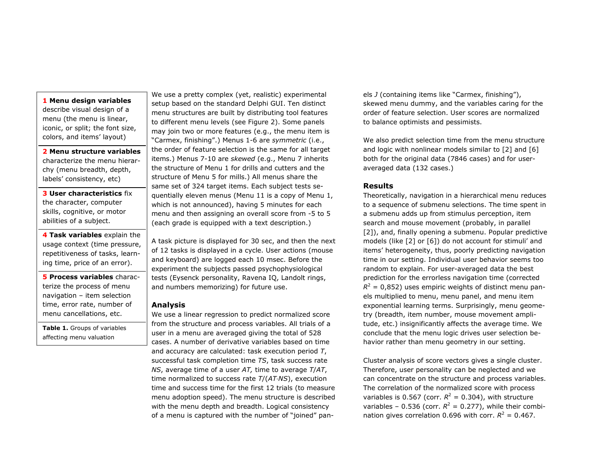#### **1 Menu design variables**

describe visual design of a menu (the menu is linear, iconic, or split; the font size, colors, and items' layout)

**2 Menu structure variables** characterize the menu hierarchy (menu breadth, depth, labels' consistency, etc)

**3 User characteristics** fix the character, computer skills, cognitive, or motor abilities of a subject.

**4 Task variables** explain the usage context (time pressure, repetitiveness of tasks, learning time, price of an error).

**5 Process variables** characterize the process of menu navigation – item selection time, error rate, number of menu cancellations, etc.

**Table 1.** Groups of variables affecting menu valuation

We use a pretty complex (yet, realistic) experimental setup based on the standard Delphi GUI. Ten distinct menu structures are built by distributing tool features to different menu levels (see Figure 2). Some panels may join two or more features (e.g., the menu item is "Carmex, finishing".) Menus 1-6 are *symmetric* (i.e., the order of feature selection is the same for all target items.) Menus 7-10 are *skewed* (e.g., Menu 7 inherits the structure of Menu 1 for drills and cutters and the structure of Menu 5 for mills.) All menus share the same set of 324 target items. Each subject tests sequentially eleven menus (Menu 11 is a copy of Menu 1, which is not announced), having 5 minutes for each menu and then assigning an overall score from -5 to 5 (each grade is equipped with a text description.)

A task picture is displayed for 30 sec, and then the next of 12 tasks is displayed in a cycle. User actions (mouse and keyboard) are logged each 10 msec. Before the experiment the subjects passed psychophysiological tests (Eysenck personality, Ravena IQ, Landolt rings, and numbers memorizing) for future use.

#### **Analysis**

We use a linear regression to predict normalized score from the structure and process variables. All trials of a user in a menu are averaged giving the total of 528 cases. A number of derivative variables based on time and accuracy are calculated: task execution period *T*, successful task completion time *TS*, task success rate *NS*, average time of a user *AT,* time to average *T*/*AT*, time normalized to success rate *T*/(*AT*⋅*NS*), execution time and success time for the first 12 trials (to measure menu adoption speed). The menu structure is described with the menu depth and breadth. Logical consistency of a menu is captured with the number of "joined" panels *J* (containing items like "Carmex, finishing"), skewed menu dummy, and the variables caring for the order of feature selection. User scores are normalized to balance optimists and pessimists.

We also predict selection time from the menu structure and logic with nonlinear models similar to [\[2\]](#page-3-7) and [\[6\]](#page-3-9) both for the original data (7846 cases) and for useraveraged data (132 cases.)

#### **Results**

Theoretically, navigation in a hierarchical menu reduces to a sequence of submenu selections. The time spent in a submenu adds up from stimulus perception, item search and mouse movement (probably, in parallel [\[2\]\)](#page-3-7), and, finally opening a submenu. Popular predictive models (like [\[2\]](#page-3-7) or [\[6\]](#page-3-9)) do not account for stimuli' and items' heterogeneity, thus, poorly predicting navigation time in our setting. Individual user behavior seems too random to explain. For user-averaged data the best prediction for the errorless navigation time (corrected  $R^2$  = 0,852) uses empiric weights of distinct menu panels multiplied to menu, menu panel, and menu item exponential learning terms. Surprisingly, menu geometry (breadth, item number, mouse movement amplitude, etc.) insignificantly affects the average time. We conclude that the menu logic drives user selection behavior rather than menu geometry in our setting.

Cluster analysis of score vectors gives a single cluster. Therefore, user personality can be neglected and we can concentrate on the structure and process variables. The correlation of the normalized score with process variables is 0.567 (corr.  $R^2 = 0.304$ ), with structure variables – 0.536 (corr.  $R^2 = 0.277$ ), while their combination gives correlation 0.696 with corr.  $R^2 = 0.467$ .